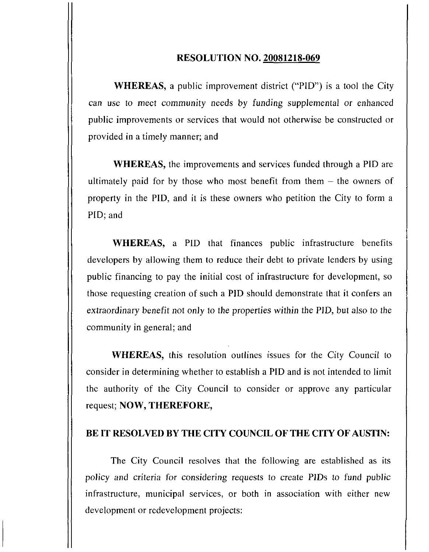## RESOLUTION NO. 20081218-069

WHEREAS, a public improvement district ("PID") is a tool the City can use to meet community needs by funding supplemental or enhanced public improvements or services that would not otherwise be constructed or provided in a timely manner; and

WHEREAS, the improvements and services funded through a PID are ultimately paid for by those who most benefit from them  $-$  the owners of property in the PID, and it is these owners who petition the City to form a PID; and

WHEREAS, a PID that finances public infrastructure benefits developers by allowing them to reduce their debt to private lenders by using public financing to pay the initial cost of infrastructure for development, so those requesting creation of such a PID should demonstrate that it confers an extraordinary benefit not only to the properties within the PID, but also to the community in general; and

WHEREAS, this resolution outlines issues for the City Council to consider in determining whether to establish a PID and is not intended to limit the authority of the City Council to consider or approve any particular request; NOW, THEREFORE,

## BE IT RESOLVED BY THE CITY COUNCIL OF THE CITY OF AUSTIN:

The City Council resolves that the following are established as its policy and criteria for considering requests to create PIDs to fund public infrastructure, municipal services, or both in association with either new development or redevelopment projects: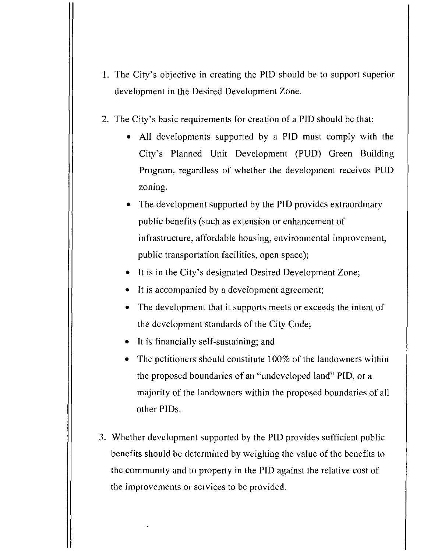- 1. The City's objective in creating the PID should be to support superior development in the Desired Development Zone.
- 2. The City's basic requirements for creation of a PID should be that:
	- All developments supported by a PID must comply with the City's Planned Unit Development (PUD) Green Building Program, regardless of whether the development receives PUD zoning.
	- The development supported by the PID provides extraordinary public benefits (such as extension or enhancement of infrastructure, affordable housing, environmental improvement, public transportation facilities, open space);
	- It is in the City's designated Desired Development Zone;
	- It is accompanied by a development agreement;
	- The development that it supports meets or exceeds the intent of the development standards of the City Code;
	- It is financially self-sustaining; and
	- The petitioners should constitute 100% of the landowners within the proposed boundaries of an "undeveloped land" PID, or a majority of the landowners within the proposed boundaries of all other PIDs.
- 3. Whether development supported by the PID provides sufficient public benefits should be determined by weighing the value of the benefits to the community and to property in the PID against the relative cost of the improvements or services to be provided.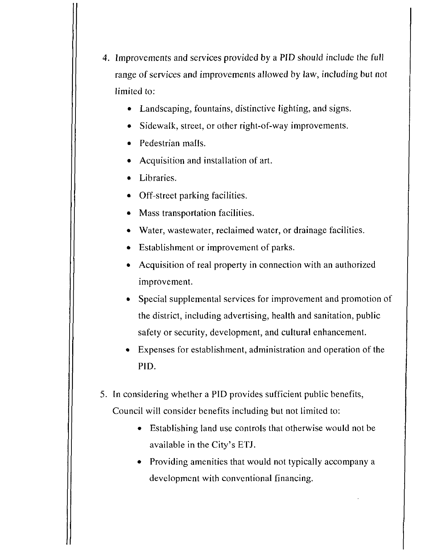- 4. Improvements and services provided by a PID should include the full range of services and improvements allowed by law, including but not limited to:
	- Landscaping, fountains, distinctive lighting, and signs.
	- Sidewalk, street, or other right-of-way improvements.
	- Pedestrian malls.
	- Acquisition and installation of art.
	- Libraries.
	- Off-street parking facilities.
	- Mass transportation facilities.
	- Water, wastewater, reclaimed water, or drainage facilities.
	- Establishment or improvement of parks.
	- Acquisition of real property in connection with an authorized improvement.
	- Special supplemental services for improvement and promotion of the district, including advertising, health and sanitation, public safety or security, development, and cultural enhancement.
	- Expenses for establishment, administration and operation of the PID.
- 5. In considering whether a PID provides sufficient public benefits, Council will consider benefits including but not limited to:
	- Establishing land use controls that otherwise would not be available in the City's ETJ.
	- Providing amenities that would not typically accompany a development with conventional financing.